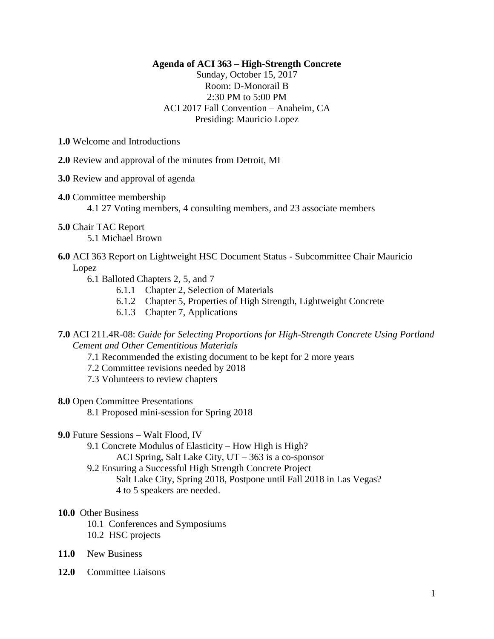## **Agenda of ACI 363 – High-Strength Concrete**

Sunday, October 15, 2017 Room: D-Monorail B 2:30 PM to 5:00 PM ACI 2017 Fall Convention – Anaheim, CA Presiding: Mauricio Lopez

**1.0** Welcome and Introductions

**2.0** Review and approval of the minutes from Detroit, MI

- **3.0** Review and approval of agenda
- **4.0** Committee membership
	- 4.1 27 Voting members, 4 consulting members, and 23 associate members
- **5.0** Chair TAC Report

5.1 Michael Brown

- **6.0** ACI 363 Report on Lightweight HSC Document Status Subcommittee Chair Mauricio Lopez
	- 6.1 Balloted Chapters 2, 5, and 7
		- 6.1.1 Chapter 2, Selection of Materials
		- 6.1.2 Chapter 5, Properties of High Strength, Lightweight Concrete
		- 6.1.3 Chapter 7, Applications

**7.0** ACI 211.4R-08: *Guide for Selecting Proportions for High-Strength Concrete Using Portland Cement and Other Cementitious Materials*

- 7.1 Recommended the existing document to be kept for 2 more years
- 7.2 Committee revisions needed by 2018
- 7.3 Volunteers to review chapters
- **8.0** Open Committee Presentations
	- 8.1 Proposed mini-session for Spring 2018
- **9.0** Future Sessions Walt Flood, IV
	- 9.1 Concrete Modulus of Elasticity How High is High?
		- ACI Spring, Salt Lake City, UT 363 is a co-sponsor
	- 9.2 Ensuring a Successful High Strength Concrete Project
		- Salt Lake City, Spring 2018, Postpone until Fall 2018 in Las Vegas?
		- 4 to 5 speakers are needed.

## **10.0** Other Business

- 10.1 Conferences and Symposiums
- 10.2 HSC projects
- **11.0** New Business
- **12.0** Committee Liaisons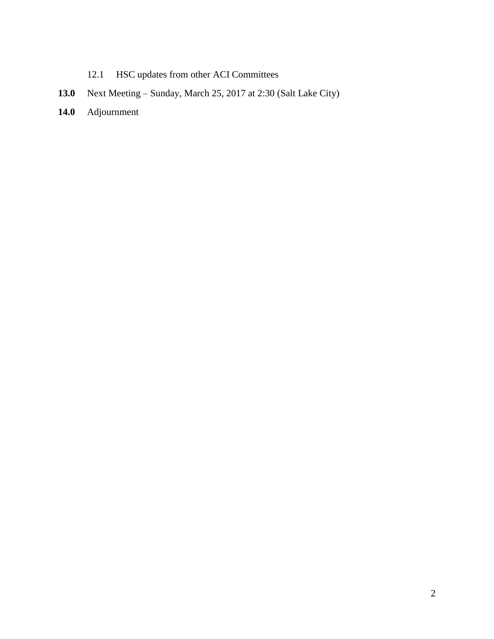- 12.1 HSC updates from other ACI Committees
- **13.0** Next Meeting Sunday, March 25, 2017 at 2:30 (Salt Lake City)
- **14.0** Adjournment